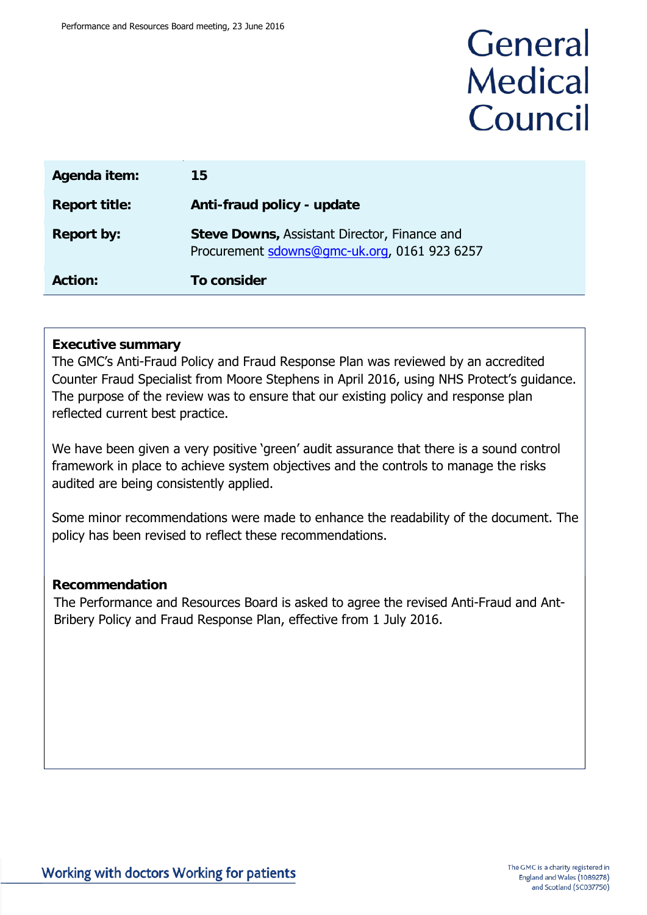## General **Medical** Council

| Agenda item:         | 15                                                                                                  |
|----------------------|-----------------------------------------------------------------------------------------------------|
| <b>Report title:</b> | Anti-fraud policy - update                                                                          |
| <b>Report by:</b>    | <b>Steve Downs, Assistant Director, Finance and</b><br>Procurement sdowns@gmc-uk.org, 0161 923 6257 |
| <b>Action:</b>       | To consider                                                                                         |

#### **Executive summary**

The GMC's Anti-Fraud Policy and Fraud Response Plan was reviewed by an accredited Counter Fraud Specialist from Moore Stephens in April 2016, using NHS Protect's guidance. The purpose of the review was to ensure that our existing policy and response plan reflected current best practice.

We have been given a very positive 'green' audit assurance that there is a sound control framework in place to achieve system objectives and the controls to manage the risks audited are being consistently applied.

Some minor recommendations were made to enhance the readability of the document. The policy has been revised to reflect these recommendations.

#### **Recommendation**

The Performance and Resources Board is asked to agree the revised Anti-Fraud and Ant-Bribery Policy and Fraud Response Plan, effective from 1 July 2016.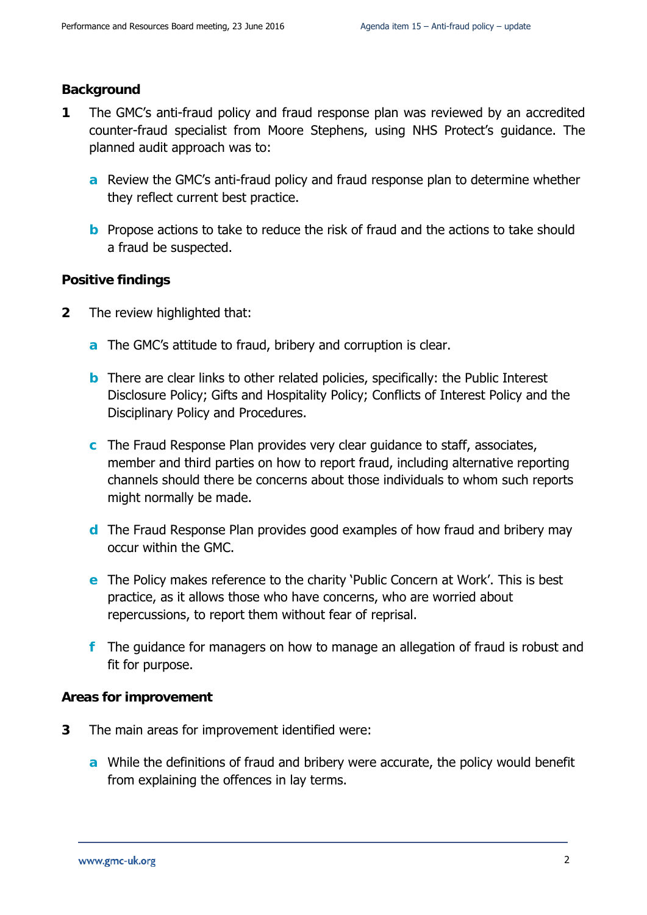#### **Background**

- **1** The GMC's anti-fraud policy and fraud response plan was reviewed by an accredited counter-fraud specialist from Moore Stephens, using NHS Protect's guidance. The planned audit approach was to:
	- **a** Review the GMC's anti-fraud policy and fraud response plan to determine whether they reflect current best practice.
	- **b** Propose actions to take to reduce the risk of fraud and the actions to take should a fraud be suspected.

#### **Positive findings**

- **2** The review highlighted that:
	- **a** The GMC's attitude to fraud, bribery and corruption is clear.
	- **b** There are clear links to other related policies, specifically: the Public Interest Disclosure Policy; Gifts and Hospitality Policy; Conflicts of Interest Policy and the Disciplinary Policy and Procedures.
	- **c** The Fraud Response Plan provides very clear guidance to staff, associates, member and third parties on how to report fraud, including alternative reporting channels should there be concerns about those individuals to whom such reports might normally be made.
	- **d** The Fraud Response Plan provides good examples of how fraud and bribery may occur within the GMC.
	- **e** The Policy makes reference to the charity 'Public Concern at Work'. This is best practice, as it allows those who have concerns, who are worried about repercussions, to report them without fear of reprisal.
	- **f** The guidance for managers on how to manage an allegation of fraud is robust and fit for purpose.

#### **Areas for improvement**

- **3** The main areas for improvement identified were:
	- **a** While the definitions of fraud and bribery were accurate, the policy would benefit from explaining the offences in lay terms.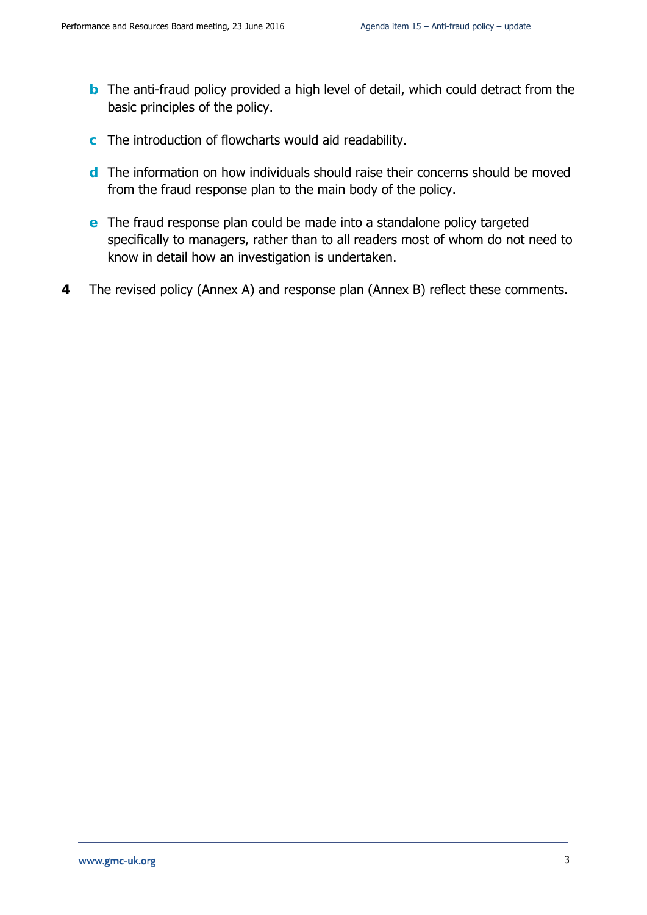- **b** The anti-fraud policy provided a high level of detail, which could detract from the basic principles of the policy.
- **c** The introduction of flowcharts would aid readability.
- **d** The information on how individuals should raise their concerns should be moved from the fraud response plan to the main body of the policy.
- **e** The fraud response plan could be made into a standalone policy targeted specifically to managers, rather than to all readers most of whom do not need to know in detail how an investigation is undertaken.
- **4** The revised policy (Annex A) and response plan (Annex B) reflect these comments.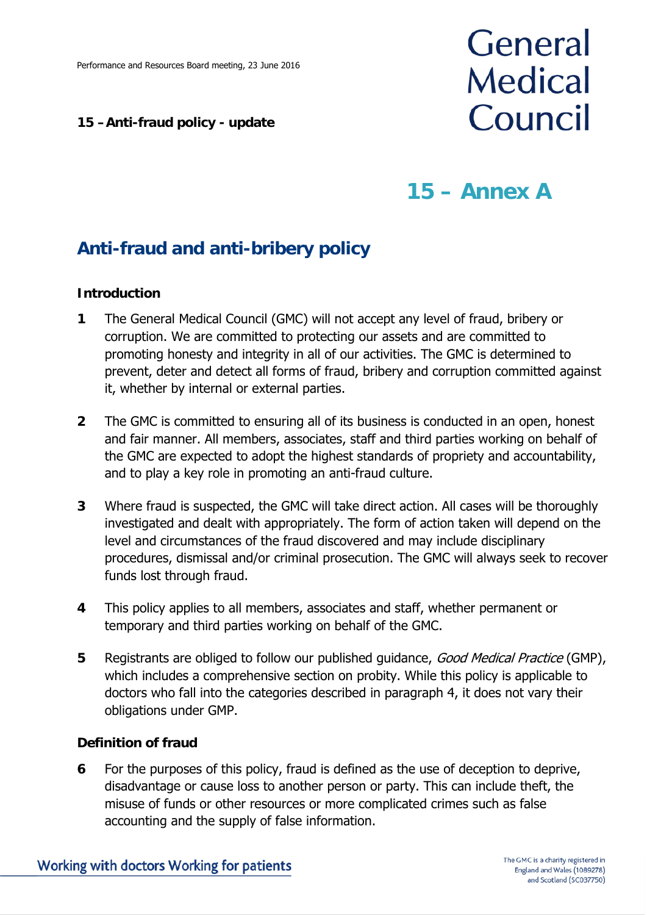#### **15 –Anti-fraud policy - update**

# General **Medical** Council

## **15 – Annex A**

## **Anti-fraud and anti-bribery policy**

#### **Introduction**

- **1** The General Medical Council (GMC) will not accept any level of fraud, bribery or corruption. We are committed to protecting our assets and are committed to promoting honesty and integrity in all of our activities. The GMC is determined to prevent, deter and detect all forms of fraud, bribery and corruption committed against it, whether by internal or external parties.
- **2** The GMC is committed to ensuring all of its business is conducted in an open, honest and fair manner. All members, associates, staff and third parties working on behalf of the GMC are expected to adopt the highest standards of propriety and accountability, and to play a key role in promoting an anti-fraud culture.
- **3** Where fraud is suspected, the GMC will take direct action. All cases will be thoroughly investigated and dealt with appropriately. The form of action taken will depend on the level and circumstances of the fraud discovered and may include disciplinary procedures, dismissal and/or criminal prosecution. The GMC will always seek to recover funds lost through fraud.
- **4** This policy applies to all members, associates and staff, whether permanent or temporary and third parties working on behalf of the GMC.
- **5** Registrants are obliged to follow our published guidance, Good Medical Practice (GMP), which includes a comprehensive section on probity. While this policy is applicable to doctors who fall into the categories described in paragraph 4, it does not vary their obligations under GMP.

#### **Definition of fraud**

**6** For the purposes of this policy, fraud is defined as the use of deception to deprive, disadvantage or cause loss to another person or party. This can include theft, the misuse of funds or other resources or more complicated crimes such as false accounting and the supply of false information.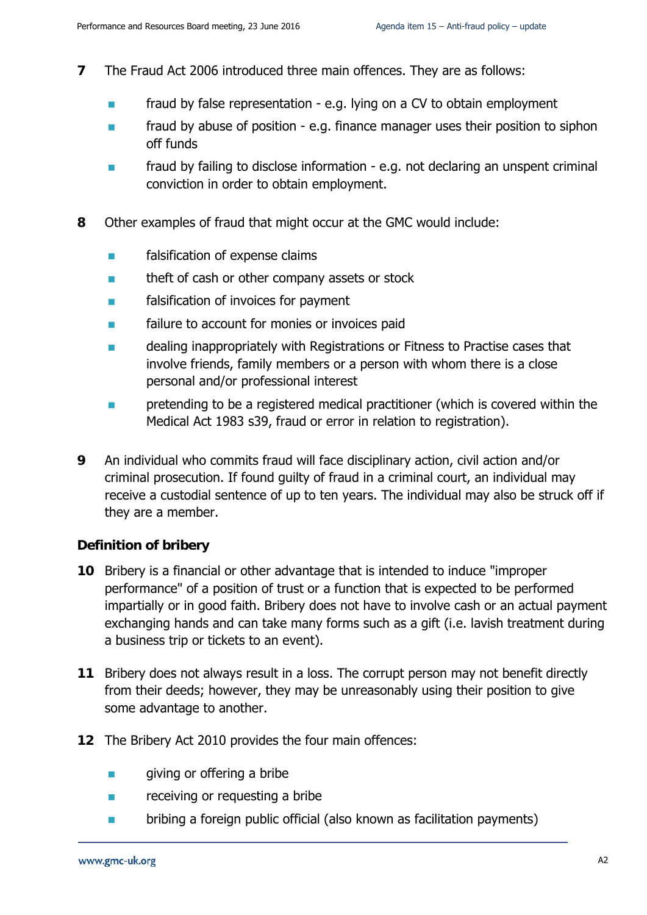- **7** The Fraud Act 2006 introduced three main offences. They are as follows:
	- fraud by false representation e.g. lying on a CV to obtain employment
	- **Fig.** fraud by abuse of position e.g. finance manager uses their position to siphon off funds
	- **Fig. 2.1** fraud by failing to disclose information e.g. not declaring an unspent criminal conviction in order to obtain employment.
- **8** Other examples of fraud that might occur at the GMC would include:
	- **Falsification of expense claims**
	- **theft of cash or other company assets or stock**
	- **Falsification of invoices for payment**
	- failure to account for monies or invoices paid
	- **Example 20** dealing inappropriately with Registrations or Fitness to Practise cases that involve friends, family members or a person with whom there is a close personal and/or professional interest
	- pretending to be a registered medical practitioner (which is covered within the Medical Act 1983 s39, fraud or error in relation to registration).
- **9** An individual who commits fraud will face disciplinary action, civil action and/or criminal prosecution. If found guilty of fraud in a criminal court, an individual may receive a custodial sentence of up to ten years. The individual may also be struck off if they are a member.

#### **Definition of bribery**

- **10** Bribery is a financial or other advantage that is intended to induce "improper performance" of a position of trust or a function that is expected to be performed impartially or in good faith. Bribery does not have to involve cash or an actual payment exchanging hands and can take many forms such as a gift (i.e. lavish treatment during a business trip or tickets to an event).
- **11** Bribery does not always result in a loss. The corrupt person may not benefit directly from their deeds; however, they may be unreasonably using their position to give some advantage to another.
- **12** The Bribery Act 2010 provides the four main offences:
	- **giving or offering a bribe**
	- **Example 2** receiving or requesting a bribe
	- **Example 1** bribing a foreign public official (also known as facilitation payments)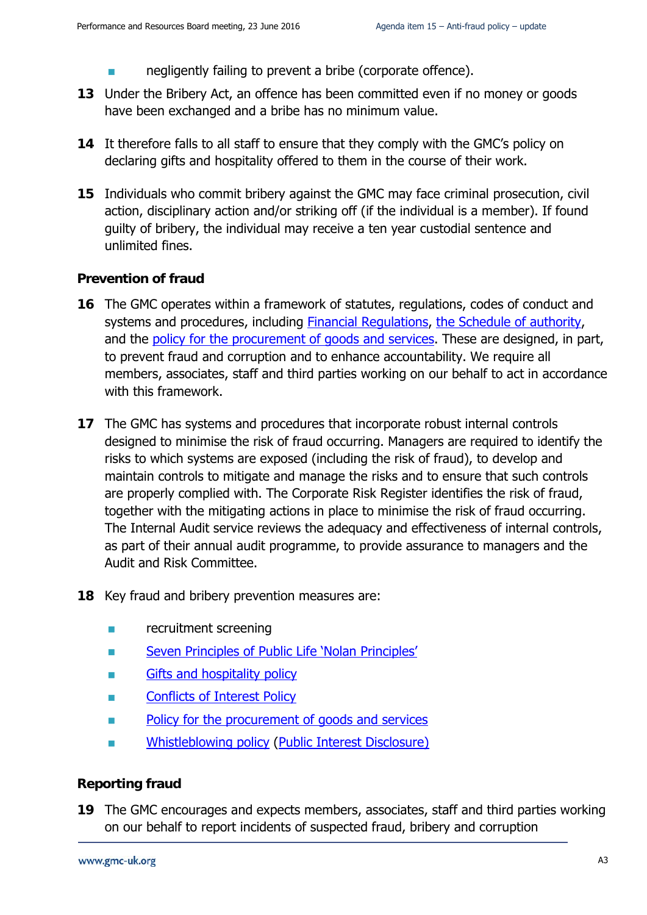- **number 1** negligently failing to prevent a bribe (corporate offence).
- **13** Under the Bribery Act, an offence has been committed even if no money or goods have been exchanged and a bribe has no minimum value.
- **14** It therefore falls to all staff to ensure that they comply with the GMC's policy on declaring gifts and hospitality offered to them in the course of their work.
- **15** Individuals who commit bribery against the GMC may face criminal prosecution, civil action, disciplinary action and/or striking off (if the individual is a member). If found guilty of bribery, the individual may receive a ten year custodial sentence and unlimited fines.

#### **Prevention of fraud**

- **16** The GMC operates within a framework of statutes, regulations, codes of conduct and systems and procedures, including Financial [Regulations,](http://livelink/edrms/llisapi.dll/open/48692898) [the Schedule of authority,](http://livelink/edrms/llisapi.dll/open/48690707) and the [policy for the procurement of goods and services.](http://s1prdll04/edrms/livelink.exe?func=doc.Fetch&nodeid%3D52768960) These are designed, in part, to prevent fraud and corruption and to enhance accountability. We require all members, associates, staff and third parties working on our behalf to act in accordance with this framework.
- **17** The GMC has systems and procedures that incorporate robust internal controls designed to minimise the risk of fraud occurring. Managers are required to identify the risks to which systems are exposed (including the risk of fraud), to develop and maintain controls to mitigate and manage the risks and to ensure that such controls are properly complied with. The Corporate Risk Register identifies the risk of fraud, together with the mitigating actions in place to minimise the risk of fraud occurring. The Internal Audit service reviews the adequacy and effectiveness of internal controls, as part of their annual audit programme, to provide assurance to managers and the Audit and Risk Committee.
- **18** Key fraud and bribery prevention measures are:
	- recruitment screening
	- **Seven Principles of Public Life 'Nolan Principles'**
	- **Example 3** Gifts and hospitality policy
	- **Example 2** Conflicts of Interest Policy
	- **Policy for the procurement of goods and services**
	- **No. 3. Example 12 [Whistleblowing policy](http://s1prdll04/edrms/livelink.exe?func=doc.Fetch&nodeid%3D56231591) (Public Interest Disclosure)**

#### **Reporting fraud**

**19** The GMC encourages and expects members, associates, staff and third parties working on our behalf to report incidents of suspected fraud, bribery and corruption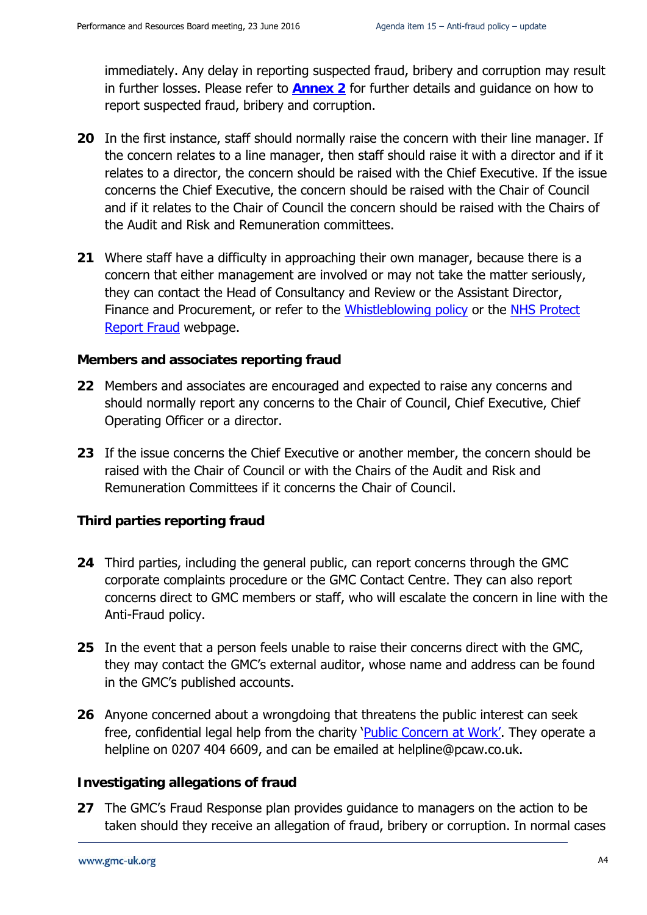immediately. Any delay in reporting suspected fraud, bribery and corruption may result in further losses. Please refer to **[Annex 2](#page-9-0)** for further details and guidance on how to report suspected fraud, bribery and corruption.

- **20** In the first instance, staff should normally raise the concern with their line manager. If the concern relates to a line manager, then staff should raise it with a director and if it relates to a director, the concern should be raised with the Chief Executive. If the issue concerns the Chief Executive, the concern should be raised with the Chair of Council and if it relates to the Chair of Council the concern should be raised with the Chairs of the Audit and Risk and Remuneration committees.
- **21** Where staff have a difficulty in approaching their own manager, because there is a concern that either management are involved or may not take the matter seriously, they can contact the Head of Consultancy and Review or the Assistant Director, Finance and Procurement, or refer to the Whistleblowing policy or the NHS Protect [Report Fraud](https://www.reportnhsfraud.nhs.uk/) webpage.

#### **Members and associates reporting fraud**

- **22** Members and associates are encouraged and expected to raise any concerns and should normally report any concerns to the Chair of Council, Chief Executive, Chief Operating Officer or a director.
- **23** If the issue concerns the Chief Executive or another member, the concern should be raised with the Chair of Council or with the Chairs of the Audit and Risk and Remuneration Committees if it concerns the Chair of Council.

#### **Third parties reporting fraud**

- **24** Third parties, including the general public, can report concerns through the GMC corporate complaints procedure or the GMC Contact Centre. They can also report concerns direct to GMC members or staff, who will escalate the concern in line with the Anti-Fraud policy.
- **25** In the event that a person feels unable to raise their concerns direct with the GMC, they may contact the GMC's external auditor, whose name and address can be found in the GMC's published accounts.
- **26** Anyone concerned about a wrongdoing that threatens the public interest can seek free, confidential legal help from the charity 'Public [Concern at Work'.](http://www.pcaw.co.uk/) They operate a helpline on 0207 404 6609, and can be emailed at [helpline@pcaw.co.uk.](mailto:helpline@pcaw.co.uk)

#### **Investigating allegations of fraud**

**27** The GMC's Fraud Response plan provides guidance to managers on the action to be taken should they receive an allegation of fraud, bribery or corruption. In normal cases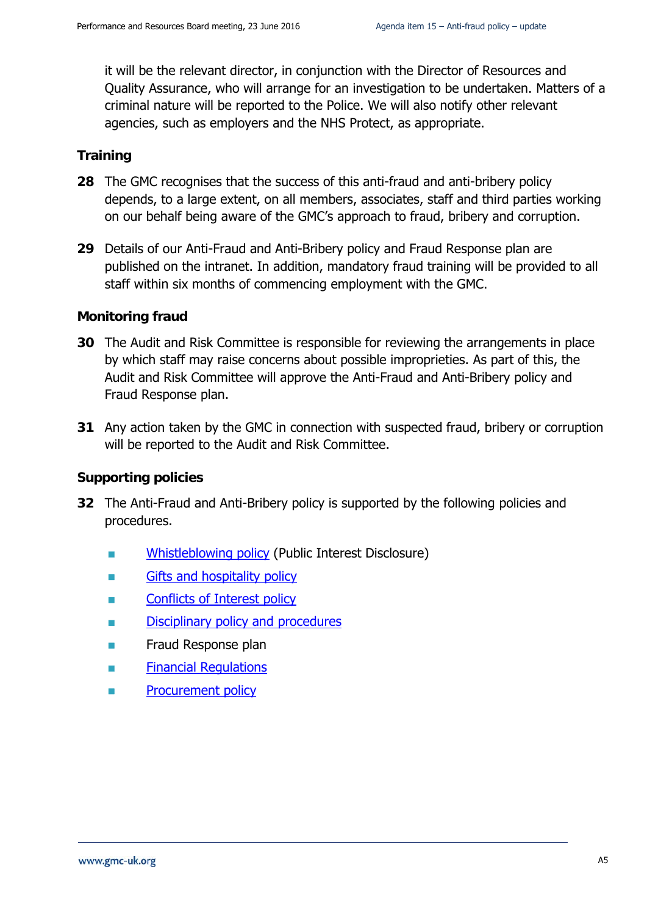it will be the relevant director, in conjunction with the Director of Resources and Quality Assurance, who will arrange for an investigation to be undertaken. Matters of a criminal nature will be reported to the Police. We will also notify other relevant agencies, such as employers and the NHS Protect, as appropriate.

#### **Training**

- **28** The GMC recognises that the success of this anti-fraud and anti-bribery policy depends, to a large extent, on all members, associates, staff and third parties working on our behalf being aware of the GMC's approach to fraud, bribery and corruption.
- **29** Details of our Anti-Fraud and Anti-Bribery policy and Fraud Response plan are published on the intranet. In addition, mandatory fraud training will be provided to all staff within six months of commencing employment with the GMC.

#### **Monitoring fraud**

- **30** The Audit and Risk Committee is responsible for reviewing the arrangements in place by which staff may raise concerns about possible improprieties. As part of this, the Audit and Risk Committee will approve the Anti-Fraud and Anti-Bribery policy and Fraud Response plan.
- **31** Any action taken by the GMC in connection with suspected fraud, bribery or corruption will be reported to the Audit and Risk Committee.

#### **Supporting policies**

- <span id="page-7-0"></span>**32** The Anti-Fraud and Anti-Bribery policy is supported by the following policies and procedures.
	- [Whistleblowing policy](http://s1prdll04/edrms/livelink.exe?func=doc.Fetch&nodeid%3D56231591) (Public Interest Disclosure)
	- [Gifts and hospitality policy](http://s1prdll04/edrms/livelink.exe?func=doc.Fetch&nodeid%3D63782198)
	- [Conflicts of Interest policy](http://s1prdll04/edrms/livelink.exe?func=doc.Fetch&nodeid%3D45182052)
	- [Disciplinary](http://livelink/edrms/llisapi.dll/open/51502261) policy and procedures
	- **Fraud Response plan**
	- [Financial Regulations](http://livelink/edrms/llisapi.dll/open/48692898)
	- [Procurement policy](http://livelink/edrms/llisapi.dll/open/52768960)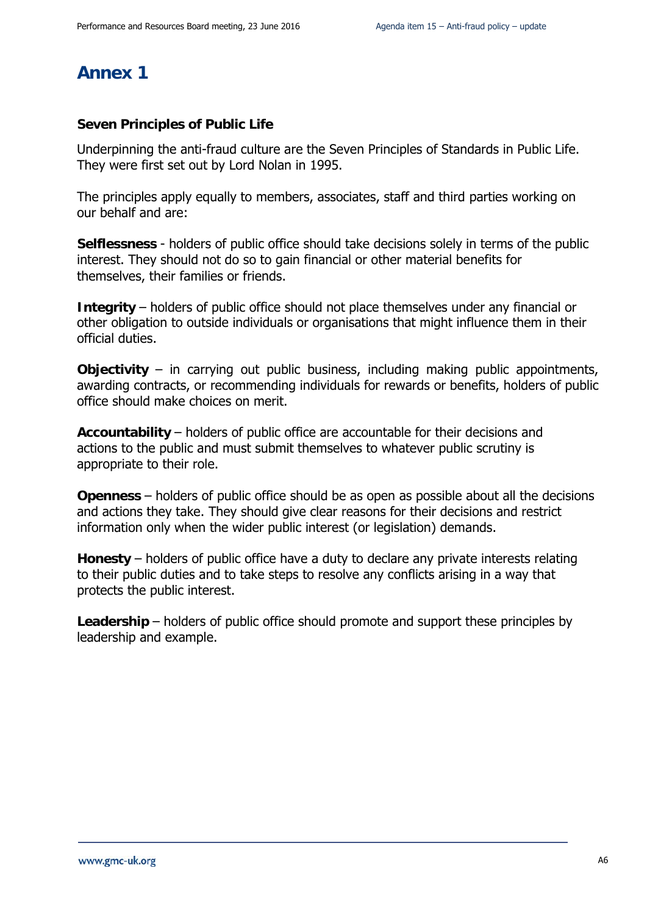### **Annex 1**

#### **Seven Principles of Public Life**

Underpinning the anti-fraud culture are the Seven Principles of Standards in Public Life. They were first set out by Lord Nolan in 1995.

The principles apply equally to members, associates, staff and third parties working on our behalf and are:

**Selflessness** - holders of public office should take decisions solely in terms of the public interest. They should not do so to gain financial or other material benefits for themselves, their families or friends.

**Integrity** – holders of public office should not place themselves under any financial or other obligation to outside individuals or organisations that might influence them in their official duties.

**Objectivity** – in carrying out public business, including making public appointments, awarding contracts, or recommending individuals for rewards or benefits, holders of public office should make choices on merit.

**Accountability** – holders of public office are accountable for their decisions and actions to the public and must submit themselves to whatever public scrutiny is appropriate to their role.

**Openness** – holders of public office should be as open as possible about all the decisions and actions they take. They should give clear reasons for their decisions and restrict information only when the wider public interest (or legislation) demands.

**Honesty** – holders of public office have a duty to declare any private interests relating to their public duties and to take steps to resolve any conflicts arising in a way that protects the public interest.

Leadership – holders of public office should promote and support these principles by leadership and example.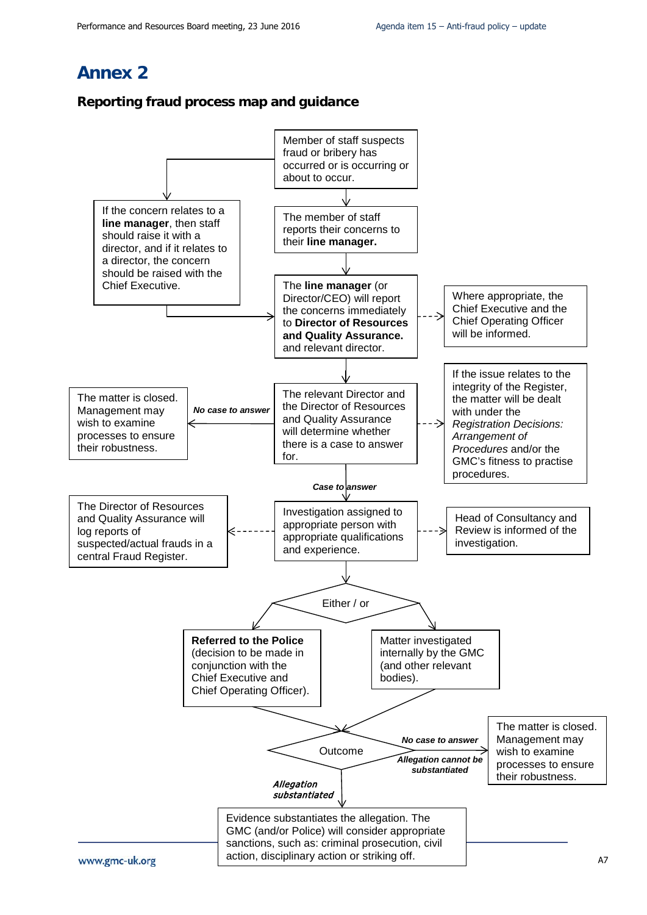### <span id="page-9-0"></span>**Annex 2**

#### **Reporting fraud process map and guidance**

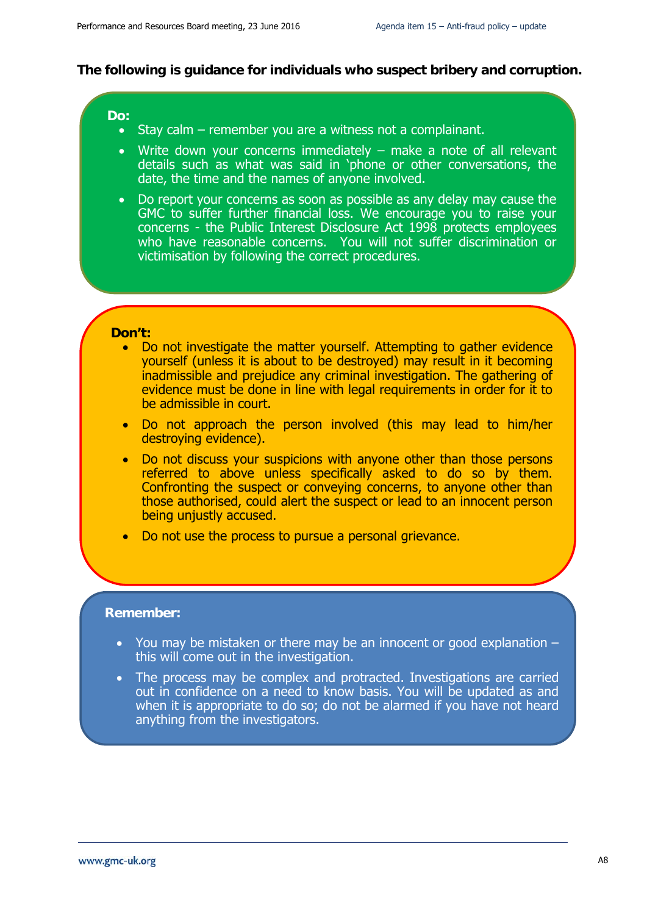#### **The following is guidance for individuals who suspect bribery and corruption.**

#### **Do:**

- Stay calm remember you are a witness not a complainant.
- Write down your concerns immediately make a note of all relevant details such as what was said in 'phone or other conversations, the date, the time and the names of anyone involved.
- Do report your concerns as soon as possible as any delay may cause the GMC to suffer further financial loss. We encourage you to raise your concerns - the Public Interest Disclosure Act 1998 protects employees who have reasonable concerns. You will not suffer discrimination or victimisation by following the correct procedures.

#### **Don't:**

- Do not investigate the matter yourself. Attempting to gather evidence yourself (unless it is about to be destroyed) may result in it becoming inadmissible and prejudice any criminal investigation. The gathering of evidence must be done in line with legal requirements in order for it to be admissible in court.
- Do not approach the person involved (this may lead to him/her destroying evidence).
- Do not discuss your suspicions with anyone other than those persons referred to above unless specifically asked to do so by them. Confronting the suspect or conveying concerns, to anyone other than those authorised, could alert the suspect or lead to an innocent person being unjustly accused.
- Do not use the process to pursue a personal grievance.

#### **Remember:**

- You may be mistaken or there may be an innocent or good explanation  $$ this will come out in the investigation.
- The process may be complex and protracted. Investigations are carried out in confidence on a need to know basis. You will be updated as and when it is appropriate to do so; do not be alarmed if you have not heard anything from the investigators.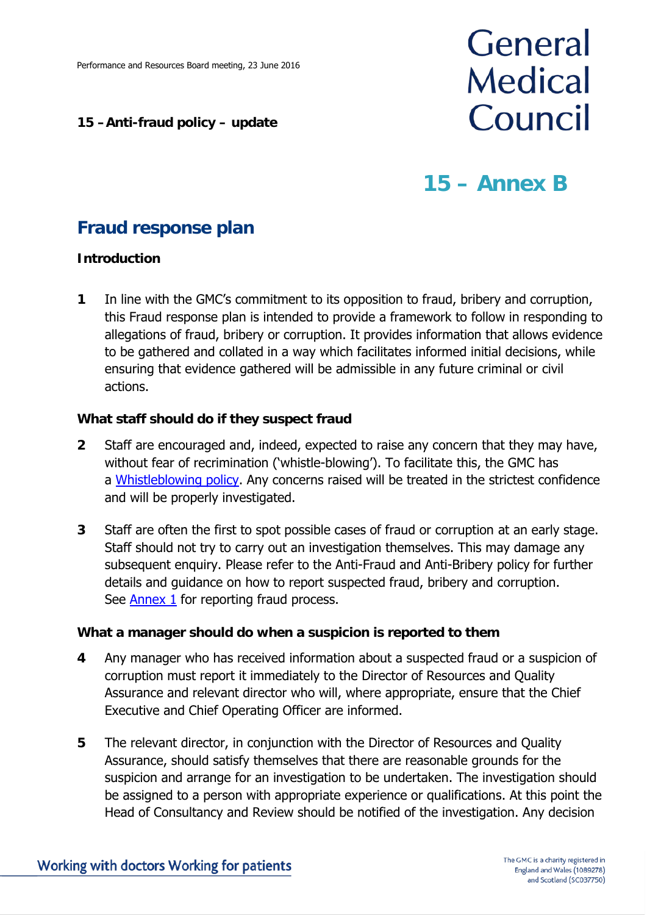#### **15 –Anti-fraud policy – update**

# General **Medical** Council

## **15 – Annex B**

## **Fraud response plan**

#### **Introduction**

**1** In line with the GMC's commitment to its opposition to fraud, bribery and corruption, this Fraud response plan is intended to provide a framework to follow in responding to allegations of fraud, bribery or corruption. It provides information that allows evidence to be gathered and collated in a way which facilitates informed initial decisions, while ensuring that evidence gathered will be admissible in any future criminal or civil actions.

#### **What staff should do if they suspect fraud**

- **2** Staff are encouraged and, indeed, expected to raise any concern that they may have, without fear of recrimination ('whistle-blowing'). To facilitate this, the GMC has a [Whistleblowing policy.](http://s1prdll04/edrms/livelink.exe?func=doc.Fetch&nodeid%3D56231591) Any concerns raised will be treated in the strictest confidence and will be properly investigated.
- **3** Staff are often the first to spot possible cases of fraud or corruption at an early stage. Staff should not try to carry out an investigation themselves. This may damage any subsequent enquiry. Please refer to the Anti-Fraud and Anti-Bribery policy for further details and guidance on how to report suspected fraud, bribery and corruption. See [Annex 1](#page-14-0) for reporting fraud process.

#### **What a manager should do when a suspicion is reported to them**

- **4** Any manager who has received information about a suspected fraud or a suspicion of corruption must report it immediately to the Director of Resources and Quality Assurance and relevant director who will, where appropriate, ensure that the Chief Executive and Chief Operating Officer are informed.
- **5** The relevant director, in conjunction with the Director of Resources and Quality Assurance, should satisfy themselves that there are reasonable grounds for the suspicion and arrange for an investigation to be undertaken. The investigation should be assigned to a person with appropriate experience or qualifications. At this point the Head of Consultancy and Review should be notified of the investigation. Any decision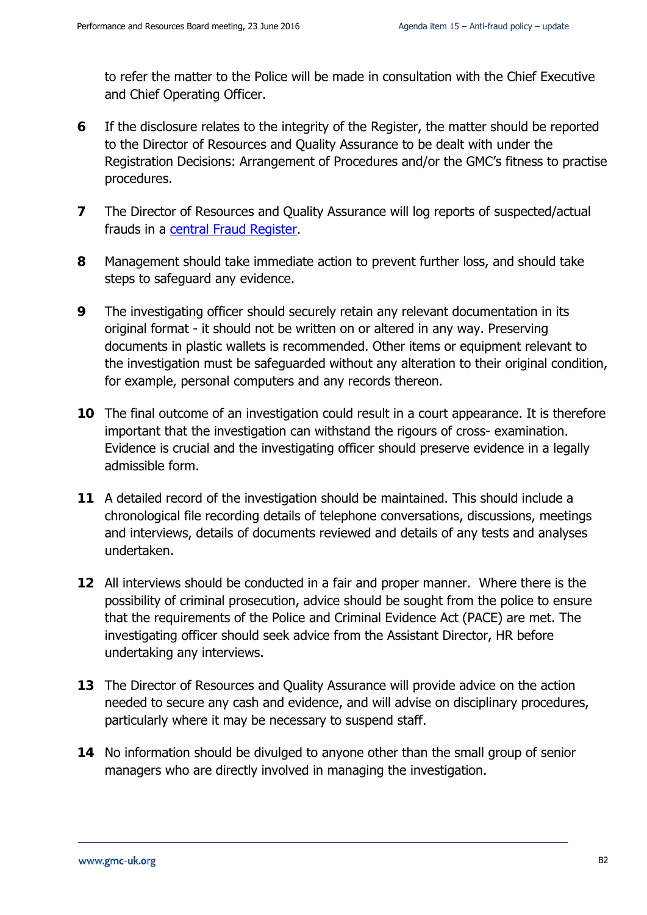to refer the matter to the Police will be made in consultation with the Chief Executive and Chief Operating Officer.

- **6** If the disclosure relates to the integrity of the Register, the matter should be reported to the Director of Resources and Quality Assurance to be dealt with under the Registration Decisions: Arrangement of Procedures and/or the GMC's fitness to practise procedures.
- **7** The Director of Resources and Quality Assurance will log reports of suspected/actual frauds in a [central Fraud Register.](http://livelink/edrms/llisapi.dll/open/59319944)
- **8** Management should take immediate action to prevent further loss, and should take steps to safeguard any evidence.
- **9** The investigating officer should securely retain any relevant documentation in its original format - it should not be written on or altered in any way. Preserving documents in plastic wallets is recommended. Other items or equipment relevant to the investigation must be safeguarded without any alteration to their original condition, for example, personal computers and any records thereon.
- **10** The final outcome of an investigation could result in a court appearance. It is therefore important that the investigation can withstand the rigours of cross- examination. Evidence is crucial and the investigating officer should preserve evidence in a legally admissible form.
- **11** A detailed record of the investigation should be maintained. This should include a chronological file recording details of telephone conversations, discussions, meetings and interviews, details of documents reviewed and details of any tests and analyses undertaken.
- **12** All interviews should be conducted in a fair and proper manner. Where there is the possibility of criminal prosecution, advice should be sought from the police to ensure that the requirements of the Police and Criminal Evidence Act (PACE) are met. The investigating officer should seek advice from the Assistant Director, HR before undertaking any interviews.
- **13** The Director of Resources and Quality Assurance will provide advice on the action needed to secure any cash and evidence, and will advise on disciplinary procedures, particularly where it may be necessary to suspend staff.
- **14** No information should be divulged to anyone other than the small group of senior managers who are directly involved in managing the investigation.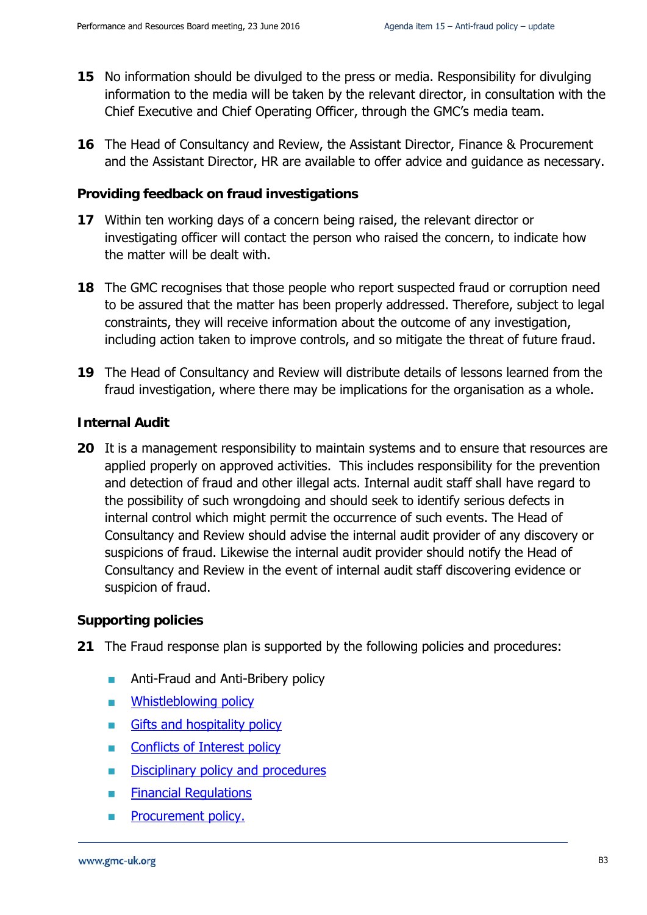- **15** No information should be divulged to the press or media. Responsibility for divulging information to the media will be taken by the relevant director, in consultation with the Chief Executive and Chief Operating Officer, through the GMC's media team.
- **16** The Head of Consultancy and Review, the Assistant Director, Finance & Procurement and the Assistant Director, HR are available to offer advice and guidance as necessary.

#### **Providing feedback on fraud investigations**

- **17** Within ten working days of a concern being raised, the relevant director or investigating officer will contact the person who raised the concern, to indicate how the matter will be dealt with.
- **18** The GMC recognises that those people who report suspected fraud or corruption need to be assured that the matter has been properly addressed. Therefore, subject to legal constraints, they will receive information about the outcome of any investigation, including action taken to improve controls, and so mitigate the threat of future fraud.
- **19** The Head of Consultancy and Review will distribute details of lessons learned from the fraud investigation, where there may be implications for the organisation as a whole.

#### **Internal Audit**

**20** It is a management responsibility to maintain systems and to ensure that resources are applied properly on approved activities. This includes responsibility for the prevention and detection of fraud and other illegal acts. Internal audit staff shall have regard to the possibility of such wrongdoing and should seek to identify serious defects in internal control which might permit the occurrence of such events. The Head of Consultancy and Review should advise the internal audit provider of any discovery or suspicions of fraud. Likewise the internal audit provider should notify the Head of Consultancy and Review in the event of internal audit staff discovering evidence or suspicion of fraud.

#### **Supporting policies**

- **21** The Fraud response plan is supported by the following policies and procedures:
	- **Anti-Fraud and Anti-Bribery policy**
	- **NHistleblowing policy**
	- Gifts and hospitality policy
	- **[Conflicts of Interest policy](http://s1prdll04/edrms/livelink.exe?func=doc.Fetch&nodeid%3D45182052)**
	- [Disciplinary](http://livelink/edrms/llisapi.dll/open/51502261) policy and procedures
	- **[Financial Regulations](http://livelink/edrms/llisapi.dll/open/48692898)**
	- **[Procurement policy.](http://livelink/edrms/llisapi.dll/open/52768960)**